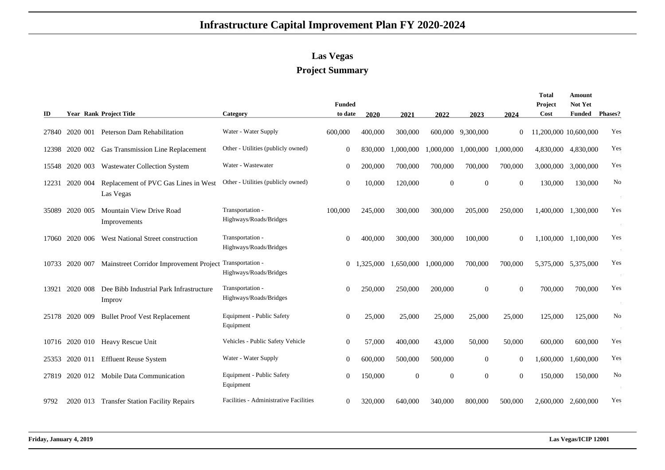## **Infrastructure Capital Improvement Plan FY 2020-2024**

## **Las Vegas**

## **Project Summary**

| ID    |                | <b>Year Rank Project Title</b>                    | Category                                   | <b>Funded</b><br>to date | 2020      | 2021         | 2022      | 2023              | 2024      | Total<br>Project<br>Cost | Amount<br>Not Yet<br>Funded | <b>Phases?</b> |
|-------|----------------|---------------------------------------------------|--------------------------------------------|--------------------------|-----------|--------------|-----------|-------------------|-----------|--------------------------|-----------------------------|----------------|
| 27840 | 2020 001       | Peterson Dam Rehabilitation                       | Water - Water Supply                       | 600,000                  | 400,000   | 300,000      |           | 600,000 9,300,000 | $\theta$  | 11,200,000 10,600,000    |                             | Yes            |
|       |                | 12398 2020 002 Gas Transmission Line Replacement  | Other - Utilities (publicly owned)         | $\Omega$                 | 830,000   | 1,000,000    | 1,000,000 | 1,000,000         | 1.000.000 |                          | 4,830,000 4,830,000         | Yes            |
|       | 15548 2020 003 | <b>Wastewater Collection System</b>               | Water - Wastewater                         | $\Omega$                 | 200,000   | 700,000      | 700,000   | 700,000           | 700,000   |                          | 3,000,000 3,000,000         | Yes            |
| 12231 | 2020 004       | Replacement of PVC Gas Lines in West<br>Las Vegas | Other - Utilities (publicly owned)         | $\mathbf{0}$             | 10,000    | 120,000      | $\Omega$  | $\Omega$          | $\Omega$  | 130,000                  | 130,000                     | No             |
| 35089 | 2020 005       | Mountain View Drive Road<br>Improvements          | Transportation -<br>Highways/Roads/Bridges | 100,000                  | 245,000   | 300,000      | 300,000   | 205,000           | 250,000   |                          | 1,400,000 1,300,000         | Yes            |
| 17060 | 2020 006       | West National Street construction                 | Transportation -<br>Highways/Roads/Bridges | $\mathbf{0}$             | 400,000   | 300,000      | 300,000   | 100,000           | $\Omega$  |                          | 1.100.000 1.100.000         | Yes            |
| 10733 | 2020 007       | Mainstreet Corridor Improvement Project           | Transportation -<br>Highways/Roads/Bridges | $\overline{0}$           | 1.325,000 | 1.650.000    | 1,000,000 | 700,000           | 700,000   |                          | 5,375,000 5,375,000         | Yes            |
| 13921 | 2020 008       | Dee Bibb Industrial Park Infrastructure<br>Improv | Transportation -<br>Highways/Roads/Bridges | $\Omega$                 | 250,000   | 250,000      | 200,000   | $\Omega$          | $\Omega$  | 700,000                  | 700,000                     | Yes            |
| 25178 | 2020 009       | <b>Bullet Proof Vest Replacement</b>              | Equipment - Public Safety<br>Equipment     | $\overline{0}$           | 25,000    | 25,000       | 25,000    | 25,000            | 25,000    | 125,000                  | 125,000                     | No             |
|       |                | 10716 2020 010 Heavy Rescue Unit                  | Vehicles - Public Safety Vehicle           | $\mathbf{0}$             | 57,000    | 400,000      | 43,000    | 50,000            | 50,000    | 600,000                  | 600,000                     | Yes            |
|       | 25353 2020 011 | <b>Effluent Reuse System</b>                      | Water - Water Supply                       | $\overline{0}$           | 600,000   | 500,000      | 500,000   | $\theta$          | $\Omega$  | 1.600.000                | 1,600,000                   | Yes            |
| 27819 | 2020 012       | <b>Mobile Data Communication</b>                  | Equipment - Public Safety<br>Equipment     | $\overline{0}$           | 150,000   | $\mathbf{0}$ | $\Omega$  | $\Omega$          | $\Omega$  | 150,000                  | 150,000                     | N <sub>0</sub> |
| 9792  |                | 2020 013 Transfer Station Facility Repairs        | Facilities - Administrative Facilities     | $\theta$                 | 320,000   | 640,000      | 340,000   | 800,000           | 500,000   |                          | 2,600,000 2,600,000         | Yes            |